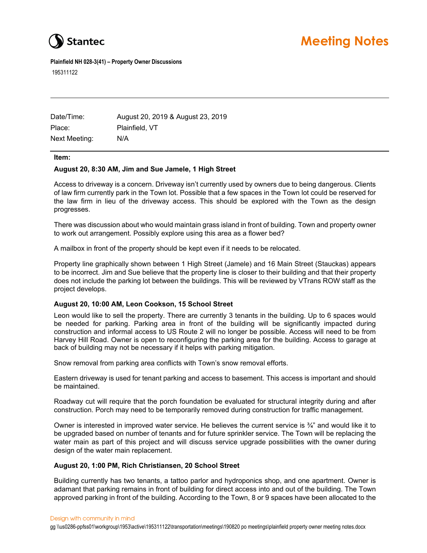

**Plainfield NH 028-3(41) – Property Owner Discussions**  195311122

| Date/Time:    | August 20, 2019 & August 23, 2019 |
|---------------|-----------------------------------|
| Place:        | Plainfield, VT                    |
| Next Meeting: | N/A                               |

#### **Item:**

### **August 20, 8:30 AM, Jim and Sue Jamele, 1 High Street**

Access to driveway is a concern. Driveway isn't currently used by owners due to being dangerous. Clients of law firm currently park in the Town lot. Possible that a few spaces in the Town lot could be reserved for the law firm in lieu of the driveway access. This should be explored with the Town as the design progresses.

There was discussion about who would maintain grass island in front of building. Town and property owner to work out arrangement. Possibly explore using this area as a flower bed?

A mailbox in front of the property should be kept even if it needs to be relocated.

Property line graphically shown between 1 High Street (Jamele) and 16 Main Street (Stauckas) appears to be incorrect. Jim and Sue believe that the property line is closer to their building and that their property does not include the parking lot between the buildings. This will be reviewed by VTrans ROW staff as the project develops.

# **August 20, 10:00 AM, Leon Cookson, 15 School Street**

Leon would like to sell the property. There are currently 3 tenants in the building. Up to 6 spaces would be needed for parking. Parking area in front of the building will be significantly impacted during construction and informal access to US Route 2 will no longer be possible. Access will need to be from Harvey Hill Road. Owner is open to reconfiguring the parking area for the building. Access to garage at back of building may not be necessary if it helps with parking mitigation.

Snow removal from parking area conflicts with Town's snow removal efforts.

Eastern driveway is used for tenant parking and access to basement. This access is important and should be maintained.

Roadway cut will require that the porch foundation be evaluated for structural integrity during and after construction. Porch may need to be temporarily removed during construction for traffic management.

Owner is interested in improved water service. He believes the current service is  $\frac{3}{4}$ " and would like it to be upgraded based on number of tenants and for future sprinkler service. The Town will be replacing the water main as part of this project and will discuss service upgrade possibilities with the owner during design of the water main replacement.

# **August 20, 1:00 PM, Rich Christiansen, 20 School Street**

Building currently has two tenants, a tattoo parlor and hydroponics shop, and one apartment. Owner is adamant that parking remains in front of building for direct access into and out of the building. The Town approved parking in front of the building. According to the Town, 8 or 9 spaces have been allocated to the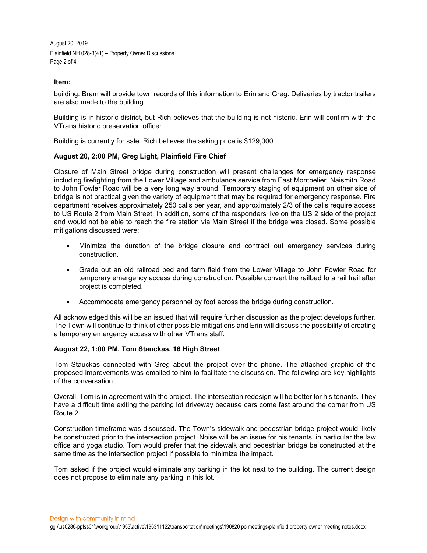August 20, 2019 Plainfield NH 028-3(41) – Property Owner Discussions Page 2 of 4

### **Item:**

building. Bram will provide town records of this information to Erin and Greg. Deliveries by tractor trailers are also made to the building.

Building is in historic district, but Rich believes that the building is not historic. Erin will confirm with the VTrans historic preservation officer.

Building is currently for sale. Rich believes the asking price is \$129,000.

# **August 20, 2:00 PM, Greg Light, Plainfield Fire Chief**

Closure of Main Street bridge during construction will present challenges for emergency response including firefighting from the Lower Village and ambulance service from East Montpelier. Naismith Road to John Fowler Road will be a very long way around. Temporary staging of equipment on other side of bridge is not practical given the variety of equipment that may be required for emergency response. Fire department receives approximately 250 calls per year, and approximately 2/3 of the calls require access to US Route 2 from Main Street. In addition, some of the responders live on the US 2 side of the project and would not be able to reach the fire station via Main Street if the bridge was closed. Some possible mitigations discussed were:

- Minimize the duration of the bridge closure and contract out emergency services during construction.
- Grade out an old railroad bed and farm field from the Lower Village to John Fowler Road for temporary emergency access during construction. Possible convert the railbed to a rail trail after project is completed.
- Accommodate emergency personnel by foot across the bridge during construction.

All acknowledged this will be an issued that will require further discussion as the project develops further. The Town will continue to think of other possible mitigations and Erin will discuss the possibility of creating a temporary emergency access with other VTrans staff.

### **August 22, 1:00 PM, Tom Stauckas, 16 High Street**

Tom Stauckas connected with Greg about the project over the phone. The attached graphic of the proposed improvements was emailed to him to facilitate the discussion. The following are key highlights of the conversation.

Overall, Tom is in agreement with the project. The intersection redesign will be better for his tenants. They have a difficult time exiting the parking lot driveway because cars come fast around the corner from US Route 2.

Construction timeframe was discussed. The Town's sidewalk and pedestrian bridge project would likely be constructed prior to the intersection project. Noise will be an issue for his tenants, in particular the law office and yoga studio. Tom would prefer that the sidewalk and pedestrian bridge be constructed at the same time as the intersection project if possible to minimize the impact.

Tom asked if the project would eliminate any parking in the lot next to the building. The current design does not propose to eliminate any parking in this lot.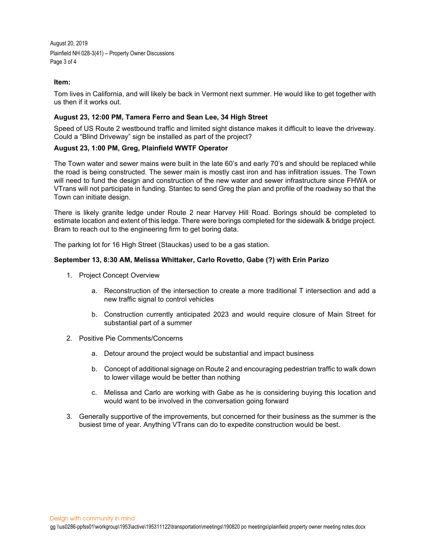August 20, 2019 Plainfield NH 028-3(41) – Property Owner Discussions Page 3 of 4

### **Item:**

Tom lives in California, and will likely be back in Vermont next summer. He would like to get together with us then if it works out.

### **August 23, 12:00 PM, Tamera Ferro and Sean Lee, 34 High Street**

Speed of US Route 2 westbound traffic and limited sight distance makes it difficult to leave the driveway. Could a "Blind Driveway" sign be installed as part of the project?

### **August 23, 1:00 PM, Greg, Plainfield WWTF Operator**

The Town water and sewer mains were built in the late 60's and early 70's and should be replaced while the road is being constructed. The sewer main is mostly cast iron and has infiltration issues. The Town will need to fund the design and construction of the new water and sewer infrastructure since FHWA or VTrans will not participate in funding. Stantec to send Greg the plan and profile of the roadway so that the Town can initiate design.

There is likely granite ledge under Route 2 near Harvey Hill Road. Borings should be completed to estimate location and extent of this ledge. There were borings completed for the sidewalk & bridge project. Bram to reach out to the engineering firm to get boring data.

The parking lot for 16 High Street (Stauckas) used to be a gas station.

#### **September 13, 8:30 AM, Melissa Whittaker, Carlo Rovetto, Gabe (?) with Erin Parizo**

- 1. Project Concept Overview
	- a. Reconstruction of the intersection to create a more traditional T intersection and add a new traffic signal to control vehicles
	- b. Construction currently anticipated 2023 and would require closure of Main Street for substantial part of a summer
- 2. Positive Pie Comments/Concerns
	- a. Detour around the project would be substantial and impact business
	- b. Concept of additional signage on Route 2 and encouraging pedestrian traffic to walk down to lower village would be better than nothing
	- c. Melissa and Carlo are working with Gabe as he is considering buying this location and would want to be involved in the conversation going forward
- 3. Generally supportive of the improvements, but concerned for their business as the summer is the busiest time of year. Anything VTrans can do to expedite construction would be best.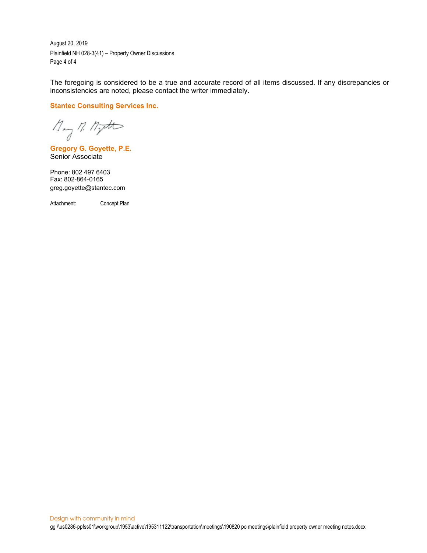August 20, 2019 Plainfield NH 028-3(41) – Property Owner Discussions Page 4 of 4

The foregoing is considered to be a true and accurate record of all items discussed. If any discrepancies or inconsistencies are noted, please contact the writer immediately.

**Stantec Consulting Services Inc.**

 $\n *M* = *M* = *M*$ 

**Gregory G. Goyette, P.E.** Senior Associate

Phone: 802 497 6403 Fax: 802-864-0165 greg.goyette@stantec.com

Attachment: Concept Plan